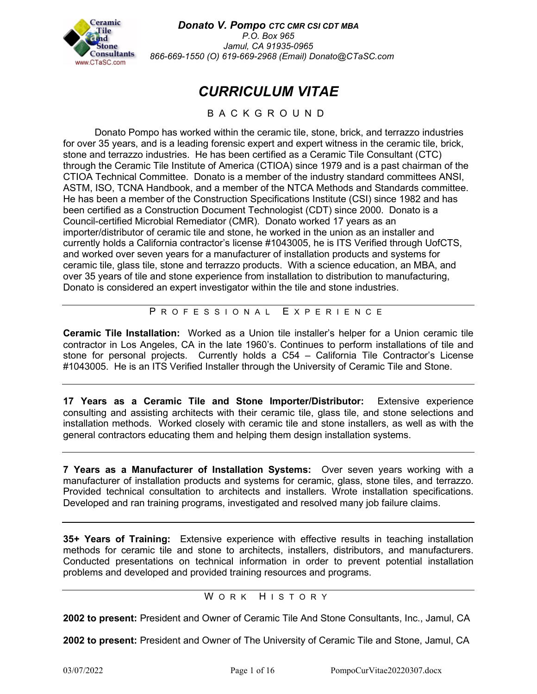

*Donato V. Pompo CTC CMR CSI CDT MBA*

*P.O. Box 965 Jamul, CA 91935-0965 866-669-1550 (O) 619-669-2968 (Email) Donato@CTaSC.com*

# *CURRICULUM VITAE*

## BACKGROUND

Donato Pompo has worked within the ceramic tile, stone, brick, and terrazzo industries for over 35 years, and is a leading forensic expert and expert witness in the ceramic tile, brick, stone and terrazzo industries. He has been certified as a Ceramic Tile Consultant (CTC) through the Ceramic Tile Institute of America (CTIOA) since 1979 and is a past chairman of the CTIOA Technical Committee. Donato is a member of the industry standard committees ANSI, ASTM, ISO, TCNA Handbook, and a member of the NTCA Methods and Standards committee. He has been a member of the Construction Specifications Institute (CSI) since 1982 and has been certified as a Construction Document Technologist (CDT) since 2000. Donato is a Council-certified Microbial Remediator (CMR). Donato worked 17 years as an importer/distributor of ceramic tile and stone, he worked in the union as an installer and currently holds a California contractor's license #1043005, he is ITS Verified through UofCTS, and worked over seven years for a manufacturer of installation products and systems for ceramic tile, glass tile, stone and terrazzo products. With a science education, an MBA, and over 35 years of tile and stone experience from installation to distribution to manufacturing, Donato is considered an expert investigator within the tile and stone industries.

P ROFESSIONAL E XPERIENCE

**Ceramic Tile Installation:** Worked as a Union tile installer's helper for a Union ceramic tile contractor in Los Angeles, CA in the late 1960's. Continues to perform installations of tile and stone for personal projects. Currently holds a C54 – California Tile Contractor's License #1043005. He is an ITS Verified Installer through the University of Ceramic Tile and Stone.

**17 Years as a Ceramic Tile and Stone Importer/Distributor:** Extensive experience consulting and assisting architects with their ceramic tile, glass tile, and stone selections and installation methods. Worked closely with ceramic tile and stone installers, as well as with the general contractors educating them and helping them design installation systems.

**7 Years as a Manufacturer of Installation Systems:** Over seven years working with a manufacturer of installation products and systems for ceramic, glass, stone tiles, and terrazzo. Provided technical consultation to architects and installers. Wrote installation specifications. Developed and ran training programs, investigated and resolved many job failure claims.

**35+ Years of Training:** Extensive experience with effective results in teaching installation methods for ceramic tile and stone to architects, installers, distributors, and manufacturers. Conducted presentations on technical information in order to prevent potential installation problems and developed and provided training resources and programs.

## WORK HISTORY

**2002 to present:** President and Owner of Ceramic Tile And Stone Consultants, Inc., Jamul, CA

**2002 to present:** President and Owner of The University of Ceramic Tile and Stone, Jamul, CA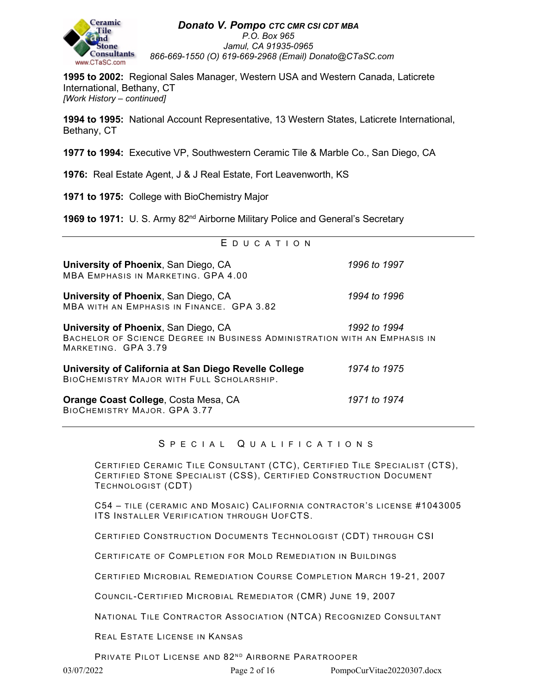

**1995 to 2002:** Regional Sales Manager, Western USA and Western Canada, Laticrete International, Bethany, CT *[Work History – continued]*

**1994 to 1995:** National Account Representative, 13 Western States, Laticrete International, Bethany, CT

**1977 to 1994:** Executive VP, Southwestern Ceramic Tile & Marble Co., San Diego, CA

**1976:** Real Estate Agent, J & J Real Estate, Fort Leavenworth, KS

**1971 to 1975:** College with BioChemistry Major

**1969 to 1971:** U. S. Army 82<sup>nd</sup> Airborne Military Police and General's Secretary

| EDUCATION                                                                                                                                |              |
|------------------------------------------------------------------------------------------------------------------------------------------|--------------|
| University of Phoenix, San Diego, CA<br><b>MBA EMPHASIS IN MARKETING, GPA 4.00</b>                                                       | 1996 to 1997 |
| University of Phoenix, San Diego, CA<br>MBA WITH AN EMPHASIS IN FINANCE. GPA 3.82                                                        | 1994 to 1996 |
| University of Phoenix, San Diego, CA<br>BACHELOR OF SCIENCE DEGREE IN BUSINESS ADMINISTRATION WITH AN EMPHASIS IN<br>MARKETING. GPA 3.79 | 1992 to 1994 |
| University of California at San Diego Revelle College<br>BIOCHEMISTRY MAJOR WITH FULL SCHOLARSHIP.                                       | 1974 to 1975 |
| <b>Orange Coast College, Costa Mesa, CA</b><br><b>BIOCHEMISTRY MAJOR. GPA 3.77</b>                                                       | 1971 to 1974 |

## S PECIAL Q UALIFICATIONS

CERTIFIED CERAMIC TILE CONSULTANT (CTC), CERTIFIED TILE SPECIALIST (CTS), CERTIFIED STONE SPECIALIST (CSS), CERTIFIED CONSTRUCTION DOCUMENT TECHNOLOGIST (CDT)

C54 – TILE (CERAMIC AND MOSAIC) CALIFORNIA CONTRACTOR'S LICENSE #1043005 ITS INSTALLER VERIFICATION THROUGH UOFCTS.

CERTIFIED CONSTRUCTION DOCUMENTS TECHNOLOGIST (CDT) THROUGH CSI

CERTIFICATE OF COMPLETION FOR MOLD REMEDIATION IN BUILDINGS

CERTIFIED MICROBIAL REMEDIATION COURSE COMPLETION MARCH 19-21, 2007

COUNCIL-CERTIFIED MICROBIAL REMEDIATOR (CMR) JUNE 19, 2007

NATIONAL TILE CONTRACTOR ASSOCIATION (NTCA) RECOGNIZED CONSULTANT

REAL ESTATE LICENSE IN KANSAS

PRIVATE PILOT LICENSE AND 82ND AIRBORNE PARATROOPER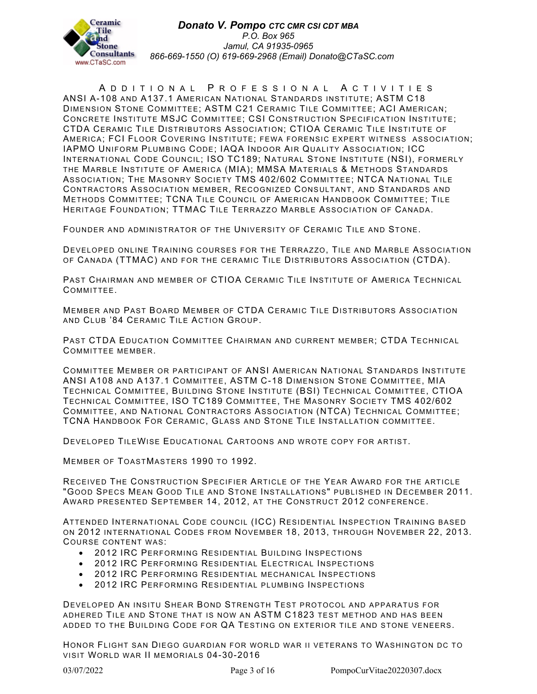

A DDITIONAL P ROFESSIONAL A CTIVITIES ANSI A-108 AND A137.1 AMERICAN NATIONAL STANDARDS INSTITUTE; ASTM C18 DIMENSION STONE COMMITTEE; ASTM C21 CERAMIC TILE COMMITTEE; ACI AMERICAN; CONCRETE INSTITUTE MSJC COMMITTEE; CSI CONSTRUCTION SPECIFICATION INSTITUTE; CTDA CERAMIC TILE DISTRIBUTORS ASSOCIATION; CTIOA CERAMIC TILE INSTITUTE OF AMERICA; FCI FLOOR COVERING INSTITUTE; FEWA FORENSIC EXPERT WITNESS ASSOCIATION; IAPMO UNIFORM PLUMBING CODE; IAQA INDOOR AIR QUALITY ASSOCIATION; ICC INTERNATIONAL CODE COUNCIL; ISO TC189; NATURAL STONE INSTITUTE (NSI), FORMERLY THE MARBLE INSTITUTE OF AMERICA (MIA); MMSA MATERIALS & METHODS STANDARDS ASSOCIATION; THE MASONRY SOCIETY TMS 402/602 COMMITTEE; NTCA NATIONAL TILE CONTRACTORS ASSOCIATION MEMBER, RECOGNIZED CONSULTANT, AND STANDARDS AND METHODS COMMITTEE; TCNA TILE COUNCIL OF AMERICAN HANDBOOK COMMITTEE; TILE HERITAGE FOUNDATION; TTMAC TILE TERRAZZO MARBLE ASSOCIATION OF CANADA.

FOUNDER AND ADMINISTRATOR OF THE UNIVERSITY OF CERAMIC TILE AND STONE.

DEVELOPED ONLINE TRAINING COURSES FOR THE TERRAZZO, TILE AND MARBLE ASSOCIATION OF CANADA (TTMAC) AND FOR THE CERAMIC TILE DISTRIBUTORS ASSOCIATION (CTDA).

PAST CHAIRMAN AND MEMBER OF CTIOA CERAMIC TILE INSTITUTE OF AMERICA TECHNICAL COMMITTEE.

MEMBER AND PAST BOARD MEMBER OF CTDA CERAMIC TILE DISTRIBUTORS ASSOCIATION AND CLUB '84 CERAMIC TILE ACTION GROUP.

PAST CTDA EDUCATION COMMITTEE CHAIRMAN AND CURRENT MEMBER; CTDA TECHNICAL COMMITTEE MEMBER.

COMMITTEE MEMBER OR PARTICIPANT OF ANSI AMERICAN NATIONAL STANDARDS INSTITUTE ANSI A108 AND A137.1 COMMITTEE, ASTM C-18 DIMENSION STONE COMMITTEE, MIA TECHNICAL COMMITTEE, BUILDING STONE INSTITUTE (BSI) TECHNICAL COMMITTEE, CTIOA TECHNICAL COMMITTEE, ISO TC189 COMMITTEE, THE MASONRY SOCIETY TMS 402/602 COMMITTEE, AND NATIONAL CONTRACTORS ASSOCIATION (NTCA) TECHNICAL COMMITTEE; TCNA HANDBOOK FOR CERAMIC, GLASS AND STONE TILE INSTALLATION COMMITTEE.

DEVELOPED TILEWISE EDUCATIONAL CARTOONS AND WROTE COPY FOR ARTIST.

MEMBER OF TOASTMASTERS 1990 TO 1992.

RECEIVED THE CONSTRUCTION SPECIFIER ARTICLE OF THE YEAR AWARD FOR THE ARTICLE "GOOD SPECS MEAN GOOD TILE AND STONE INSTALLATIONS" PUBLISHED IN DECEMBER 2011. AWARD PRESENTED SEPTEMBER 14, 2012, AT THE CONSTRUCT 2012 CONFERENCE.

ATTENDED INTERNATIONAL CODE COUNCIL (ICC) RESIDENTIAL INSPECTION TRAINING BASED ON 2012 INTERNATIONAL CODES FROM NOVEMBER 18, 2013, THROUGH NOVEMBER 22, 2013. COURSE CONTENT WAS:

- 2012 IRC PERFORMING RESIDENTIAL BUILDING INSPECTIONS
- 2012 IRC PERFORMING RESIDENTIAL ELECTRICAL INSPECTIONS
- 2012 IRC PERFORMING RESIDENTIAL MECHANICAL INSPECTIONS
- 2012 IRC PERFORMING RESIDENTIAL PLUMBING INSPECTIONS

DEVELOPED AN INSITU SHEAR BOND STRENGTH TEST PROTOCOL AND APPARATUS FOR ADHERED TILE AND STONE THAT IS NOW AN ASTM C1823 TEST METHOD AND HAS BEEN ADDED TO THE BUILDING CODE FOR QA TESTING ON EXTERIOR TILE AND STONE VENEERS.

HONOR FLIGHT SAN DIEGO GUARDIAN FOR WORLD WAR II VETERANS TO WASHINGTON DC TO VISIT WORLD WAR II MEMORIALS 04-30-2016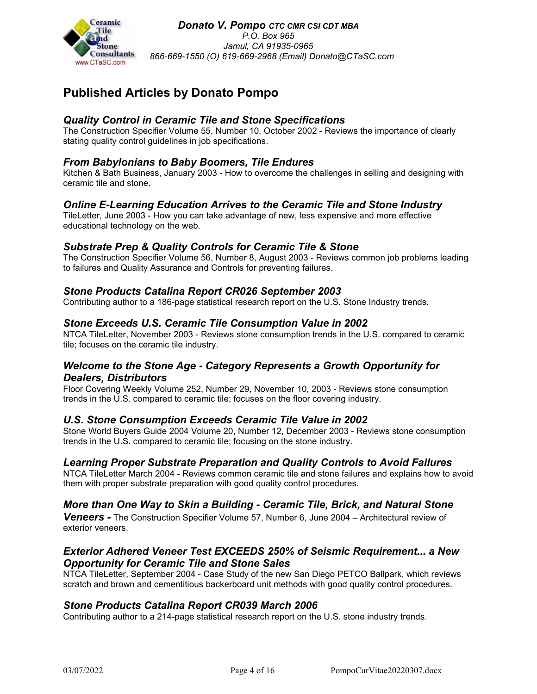

## **Published Articles by Donato Pompo**

## *Quality Control in Ceramic Tile and Stone Specifications*

The Construction Specifier Volume 55, Number 10, October 2002 - Reviews the importance of clearly stating quality control guidelines in job specifications.

## *From Babylonians to Baby Boomers, Tile Endures*

Kitchen & Bath Business, January 2003 - How to overcome the challenges in selling and designing with ceramic tile and stone.

## *Online E-Learning Education Arrives to the Ceramic Tile and Stone Industry*

TileLetter, June 2003 - How you can take advantage of new, less expensive and more effective educational technology on the web.

#### *Substrate Prep & Quality Controls for Ceramic Tile & Stone*

The Construction Specifier Volume 56, Number 8, August 2003 - Reviews common job problems leading to failures and Quality Assurance and Controls for preventing failures.

## *Stone Products Catalina Report CR026 September 2003*

Contributing author to a 186-page statistical research report on the U.S. Stone Industry trends.

#### *Stone Exceeds U.S. Ceramic Tile Consumption Value in 2002*

NTCA TileLetter, November 2003 - Reviews stone consumption trends in the U.S. compared to ceramic tile; focuses on the ceramic tile industry.

## *Welcome to the Stone Age - Category Represents a Growth Opportunity for Dealers, Distributors*

Floor Covering Weekly Volume 252, Number 29, November 10, 2003 - Reviews stone consumption trends in the U.S. compared to ceramic tile; focuses on the floor covering industry.

#### *U.S. Stone Consumption Exceeds Ceramic Tile Value in 2002*

Stone World Buyers Guide 2004 Volume 20, Number 12, December 2003 - Reviews stone consumption trends in the U.S. compared to ceramic tile; focusing on the stone industry.

#### *Learning Proper Substrate Preparation and Quality Controls to Avoid Failures*

NTCA TileLetter March 2004 - Reviews common ceramic tile and stone failures and explains how to avoid them with proper substrate preparation with good quality control procedures.

## *More than One Way to Skin a Building - Ceramic Tile, Brick, and Natural Stone*

*Veneers -* The Construction Specifier Volume 57, Number 6, June 2004 – Architectural review of exterior veneers.

#### *Exterior Adhered Veneer Test EXCEEDS 250% of Seismic Requirement... a New Opportunity for Ceramic Tile and Stone Sales*

NTCA TileLetter, September 2004 - Case Study of the new San Diego PETCO Ballpark, which reviews scratch and brown and cementitious backerboard unit methods with good quality control procedures.

## *Stone Products Catalina Report CR039 March 2006*

Contributing author to a 214-page statistical research report on the U.S. stone industry trends.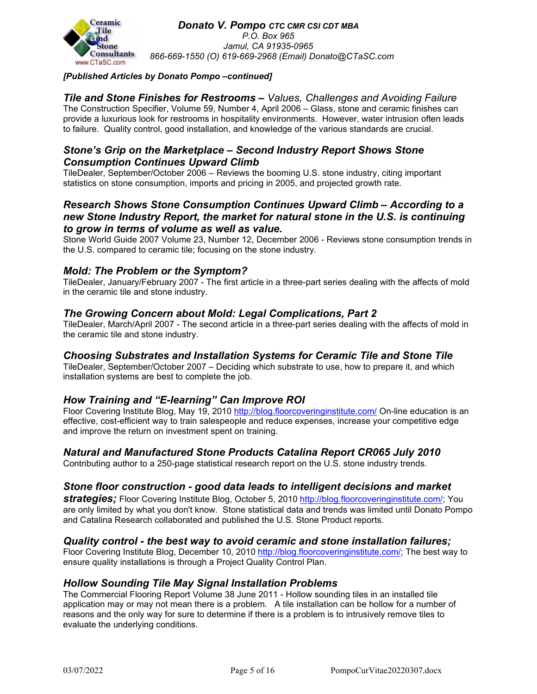

#### *[Published Articles by Donato Pompo –continued]*

## *Tile and Stone Finishes for Restrooms – Values, Challenges and Avoiding Failure*

The Construction Specifier, Volume 59, Number 4, April 2006 – Glass, stone and ceramic finishes can provide a luxurious look for restrooms in hospitality environments. However, water intrusion often leads to failure. Quality control, good installation, and knowledge of the various standards are crucial.

## *Stone's Grip on the Marketplace – Second Industry Report Shows Stone Consumption Continues Upward Climb*

TileDealer, September/October 2006 – Reviews the booming U.S. stone industry, citing important statistics on stone consumption, imports and pricing in 2005, and projected growth rate.

## *Research Shows Stone Consumption Continues Upward Climb – According to a new Stone Industry Report, the market for natural stone in the U.S. is continuing to grow in terms of volume as well as value.*

Stone World Guide 2007 Volume 23, Number 12, December 2006 - Reviews stone consumption trends in the U.S. compared to ceramic tile; focusing on the stone industry.

## *Mold: The Problem or the Symptom?*

TileDealer, January/February 2007 - The first article in a three-part series dealing with the affects of mold in the ceramic tile and stone industry.

## *The Growing Concern about Mold: Legal Complications, Part 2*

TileDealer, March/April 2007 - The second article in a three-part series dealing with the affects of mold in the ceramic tile and stone industry.

## *Choosing Substrates and Installation Systems for Ceramic Tile and Stone Tile*

TileDealer, September/October 2007 – Deciding which substrate to use, how to prepare it, and which installation systems are best to complete the job.

## *How Training and "E-learning" Can Improve ROI*

Floor Covering Institute Blog, May 19, 2010<http://blog.floorcoveringinstitute.com/> On-line education is an effective, cost-efficient way to train salespeople and reduce expenses, increase your competitive edge and improve the return on investment spent on training.

#### *Natural and Manufactured Stone Products Catalina Report CR065 July 2010*

Contributing author to a 250-page statistical research report on the U.S. stone industry trends.

#### *Stone floor construction - good data leads to intelligent decisions and market*

*strategies;* Floor Covering Institute Blog, October 5, 2010 [http://blog.floorcoveringinstitute.com/;](http://blog.floorcoveringinstitute.com/) You are only limited by what you don't know. Stone statistical data and trends was limited until Donato Pompo and Catalina Research collaborated and published the U.S. Stone Product reports.

#### *Quality control - the best way to avoid ceramic and stone installation failures;*

Floor Covering Institute Blog, December 10, 2010 [http://blog.floorcoveringinstitute.com/;](http://blog.floorcoveringinstitute.com/) The best way to ensure quality installations is through a Project Quality Control Plan.

#### *Hollow Sounding Tile May Signal Installation Problems*

The Commercial Flooring Report Volume 38 June 2011 - Hollow sounding tiles in an installed tile application may or may not mean there is a problem. A tile installation can be hollow for a number of reasons and the only way for sure to determine if there is a problem is to intrusively remove tiles to evaluate the underlying conditions.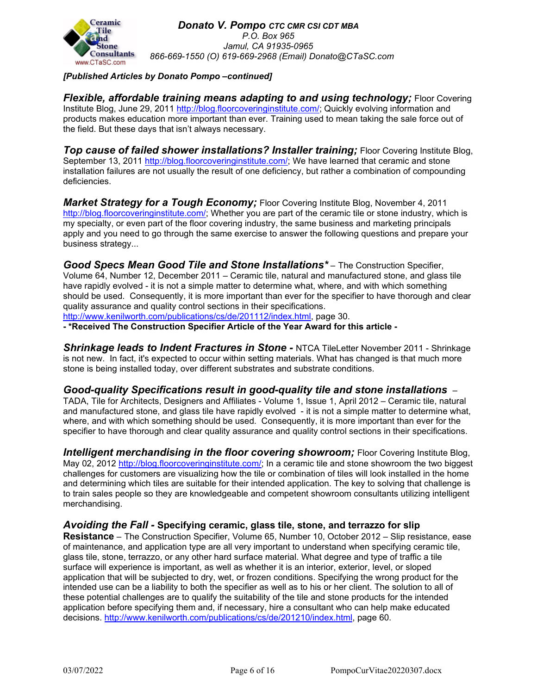

## *[Published Articles by Donato Pompo –continued]*

*Flexible, affordable training means adapting to and using technology; Floor Covering* Institute Blog, June 29, 2011 [http://blog.floorcoveringinstitute.com/;](http://blog.floorcoveringinstitute.com/) Quickly evolving information and products makes education more important than ever. Training used to mean taking the sale force out of the field. But these days that isn't always necessary.

**Top cause of failed shower installations? Installer training;** Floor Covering Institute Blog, September 13, 2011 [http://blog.floorcoveringinstitute.com/;](http://blog.floorcoveringinstitute.com/) We have learned that ceramic and stone installation failures are not usually the result of one deficiency, but rather a combination of compounding deficiencies.

*Market Strategy for a Tough Economy; Floor Covering Institute Blog, November 4, 2011* [http://blog.floorcoveringinstitute.com/;](http://blog.floorcoveringinstitute.com/) Whether you are part of the ceramic tile or stone industry, which is my specialty, or even part of the floor covering industry, the same business and marketing principals apply and you need to go through the same exercise to answer the following questions and prepare your business strategy...

*Good Specs Mean Good Tile and Stone Installations\** – The Construction Specifier, Volume 64, Number 12, December 2011 – Ceramic tile, natural and manufactured stone, and glass tile have rapidly evolved - it is not a simple matter to determine what, where, and with which something should be used. Consequently, it is more important than ever for the specifier to have thorough and clear quality assurance and quality control sections in their specifications. [http://www.kenilworth.com/publications/cs/de/201112/index.html,](http://www.kenilworth.com/publications/cs/de/201112/index.html) page 30.

**- \*Received The Construction Specifier Article of the Year Award for this article -**

*Shrinkage leads to Indent Fractures in Stone -* NTCA TileLetter November 2011 - Shrinkage is not new. In fact, it's expected to occur within setting materials. What has changed is that much more stone is being installed today, over different substrates and substrate conditions.

## *Good-quality Specifications result in good-quality tile and stone installations* –

TADA, Tile for Architects, Designers and Affiliates - Volume 1, Issue 1, April 2012 – Ceramic tile, natural and manufactured stone, and glass tile have rapidly evolved - it is not a simple matter to determine what, where, and with which something should be used. Consequently, it is more important than ever for the specifier to have thorough and clear quality assurance and quality control sections in their specifications.

**Intelligent merchandising in the floor covering showroom;** Floor Covering Institute Blog, May 02, 2012 [http://blog.floorcoveringinstitute.com/;](http://blog.floorcoveringinstitute.com/) In a ceramic tile and stone showroom the two biggest challenges for customers are visualizing how the tile or combination of tiles will look installed in the home and determining which tiles are suitable for their intended application. The key to solving that challenge is to train sales people so they are knowledgeable and competent showroom consultants utilizing intelligent merchandising.

## *Avoiding the Fall -* **Specifying ceramic, glass tile, stone, and terrazzo for slip**

**Resistance** – The Construction Specifier, Volume 65, Number 10, October 2012 – Slip resistance, ease of maintenance, and application type are all very important to understand when specifying ceramic tile, glass tile, stone, terrazzo, or any other hard surface material. What degree and type of traffic a tile surface will experience is important, as well as whether it is an interior, exterior, level, or sloped application that will be subjected to dry, wet, or frozen conditions. Specifying the wrong product for the intended use can be a liability to both the specifier as well as to his or her client. The solution to all of these potential challenges are to qualify the suitability of the tile and stone products for the intended application before specifying them and, if necessary, hire a consultant who can help make educated decisions. [http://www.kenilworth.com/publications/cs/de/201210/index.html,](http://www.kenilworth.com/publications/cs/de/201112/index.html) page 60.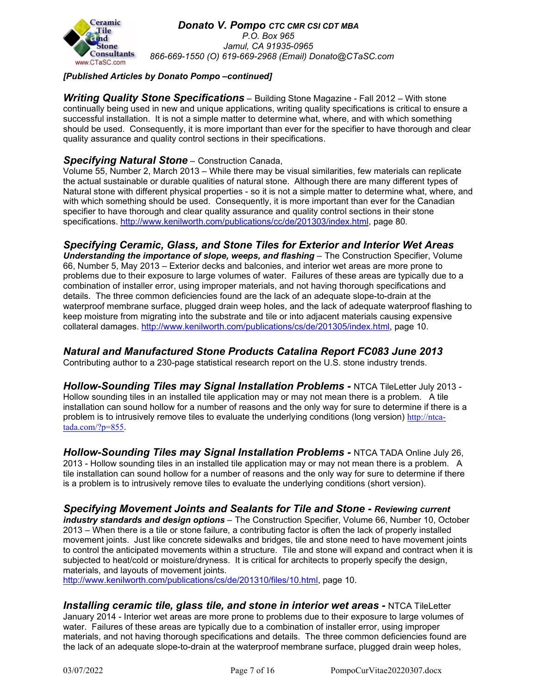

## *[Published Articles by Donato Pompo –continued]*

*Writing Quality Stone Specifications* – Building Stone Magazine - Fall 2012 – With stone continually being used in new and unique applications, writing quality specifications is critical to ensure a successful installation. It is not a simple matter to determine what, where, and with which something should be used. Consequently, it is more important than ever for the specifier to have thorough and clear quality assurance and quality control sections in their specifications.

#### *Specifying Natural Stone* – Construction Canada,

Volume 55, Number 2, March 2013 – While there may be visual similarities, few materials can replicate the actual sustainable or durable qualities of natural stone. Although there are many different types of Natural stone with different physical properties - so it is not a simple matter to determine what, where, and with which something should be used. Consequently, it is more important than ever for the Canadian specifier to have thorough and clear quality assurance and quality control sections in their stone specifications. [http://www.kenilworth.com/publications/cc/de/201303/index.html,](http://www.kenilworth.com/publications/cc/de/201303/index.html) page 80.

## *Specifying Ceramic, Glass, and Stone Tiles for Exterior and Interior Wet Areas*

*Understanding the importance of slope, weeps, and flashing* – The Construction Specifier, Volume 66, Number 5, May 2013 – Exterior decks and balconies, and interior wet areas are more prone to problems due to their exposure to large volumes of water. Failures of these areas are typically due to a combination of installer error, using improper materials, and not having thorough specifications and details. The three common deficiencies found are the lack of an adequate slope-to-drain at the waterproof membrane surface, plugged drain weep holes, and the lack of adequate waterproof flashing to keep moisture from migrating into the substrate and tile or into adjacent materials causing expensive collateral damages. [http://www.kenilworth.com/publications/cs/de/201305/index.html,](http://www.kenilworth.com/publications/cs/de/201112/index.html) page 10.

*Natural and Manufactured Stone Products Catalina Report FC083 June 2013* Contributing author to a 230-page statistical research report on the U.S. stone industry trends.

*Hollow-Sounding Tiles may Signal Installation Problems -* NTCA TileLetter July 2013 - Hollow sounding tiles in an installed tile application may or may not mean there is a problem. A tile installation can sound hollow for a number of reasons and the only way for sure to determine if there is a problem is to intrusively remove tiles to evaluate the underlying conditions (long version) [http://ntca](http://ntca-tada.com/?p=855)[tada.com/?p=855](http://ntca-tada.com/?p=855).

*Hollow-Sounding Tiles may Signal Installation Problems -* NTCA TADA Online July 26, 2013 - Hollow sounding tiles in an installed tile application may or may not mean there is a problem. A tile installation can sound hollow for a number of reasons and the only way for sure to determine if there is a problem is to intrusively remove tiles to evaluate the underlying conditions (short version).

*Specifying Movement Joints and Sealants for Tile and Stone - Reviewing current industry standards and design options* – The Construction Specifier, Volume 66, Number 10, October 2013 – When there is a tile or stone failure, a contributing factor is often the lack of properly installed movement joints. Just like concrete sidewalks and bridges, tile and stone need to have movement joints to control the anticipated movements within a structure. Tile and stone will expand and contract when it is subjected to heat/cold or moisture/dryness. It is critical for architects to properly specify the design, materials, and layouts of movement joints.

[http://www.kenilworth.com/publications/cs/de/201310/files/10.html,](http://www.kenilworth.com/publications/cs/de/201310/files/10.html) page 10.

*Installing ceramic tile, glass tile, and stone in interior wet areas -* NTCA TileLetter January 2014 - Interior wet areas are more prone to problems due to their exposure to large volumes of water. Failures of these areas are typically due to a combination of installer error, using improper materials, and not having thorough specifications and details. The three common deficiencies found are the lack of an adequate slope-to-drain at the waterproof membrane surface, plugged drain weep holes,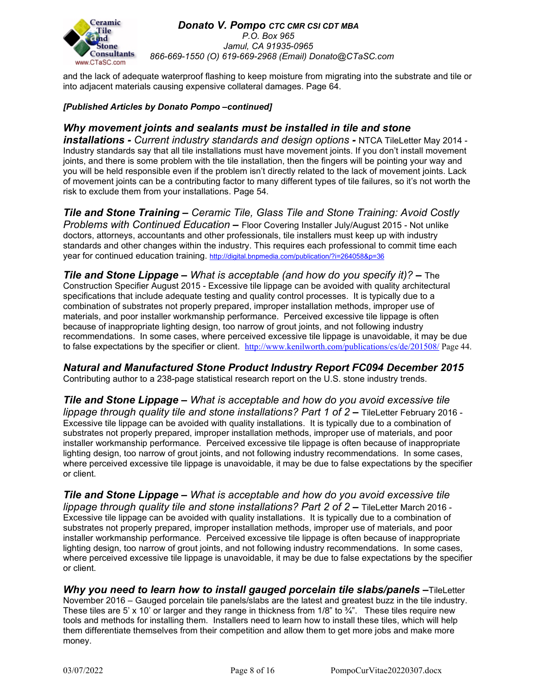

and the lack of adequate waterproof flashing to keep moisture from migrating into the substrate and tile or into adjacent materials causing expensive collateral damages. Page 64.

#### *[Published Articles by Donato Pompo –continued]*

## *Why movement joints and sealants must be installed in tile and stone*

*installations - Current industry standards and design options -* NTCA TileLetter May 2014 - Industry standards say that all tile installations must have movement joints. If you don't install movement joints, and there is some problem with the tile installation, then the fingers will be pointing your way and you will be held responsible even if the problem isn't directly related to the lack of movement joints. Lack of movement joints can be a contributing factor to many different types of tile failures, so it's not worth the risk to exclude them from your installations. Page 54.

*Tile and Stone Training – Ceramic Tile, Glass Tile and Stone Training: Avoid Costly Problems with Continued Education –* Floor Covering Installer July/August 2015 - Not unlike doctors, attorneys, accountants and other professionals, tile installers must keep up with industry standards and other changes within the industry. This requires each professional to commit time each year for continued education training. <http://digital.bnpmedia.com/publication/?i=264058&p=36>

*Tile and Stone Lippage – What is acceptable (and how do you specify it)? –* The Construction Specifier August 2015 - Excessive tile lippage can be avoided with quality architectural specifications that include adequate testing and quality control processes. It is typically due to a combination of substrates not properly prepared, improper installation methods, improper use of materials, and poor installer workmanship performance. Perceived excessive tile lippage is often because of inappropriate lighting design, too narrow of grout joints, and not following industry recommendations. In some cases, where perceived excessive tile lippage is unavoidable, it may be due to false expectations by the specifier or client. <http://www.kenilworth.com/publications/cs/de/201508/> Page 44.

*Natural and Manufactured Stone Product Industry Report FC094 December 2015* Contributing author to a 238-page statistical research report on the U.S. stone industry trends.

*Tile and Stone Lippage – What is acceptable and how do you avoid excessive tile lippage through quality tile and stone installations? Part 1 of 2 –* TileLetter February 2016 - Excessive tile lippage can be avoided with quality installations. It is typically due to a combination of substrates not properly prepared, improper installation methods, improper use of materials, and poor installer workmanship performance. Perceived excessive tile lippage is often because of inappropriate lighting design, too narrow of grout joints, and not following industry recommendations. In some cases, where perceived excessive tile lippage is unavoidable, it may be due to false expectations by the specifier or client.

*Tile and Stone Lippage – What is acceptable and how do you avoid excessive tile lippage through quality tile and stone installations? Part 2 of 2 –* TileLetter March 2016 - Excessive tile lippage can be avoided with quality installations. It is typically due to a combination of substrates not properly prepared, improper installation methods, improper use of materials, and poor installer workmanship performance. Perceived excessive tile lippage is often because of inappropriate lighting design, too narrow of grout joints, and not following industry recommendations. In some cases, where perceived excessive tile lippage is unavoidable, it may be due to false expectations by the specifier or client.

*Why you need to learn how to install gauged porcelain tile slabs/panels –*TileLetter November 2016 – Gauged porcelain tile panels/slabs are the latest and greatest buzz in the tile industry. These tiles are 5' x 10' or larger and they range in thickness from  $1/8$ " to  $\frac{3}{4}$ ". These tiles require new tools and methods for installing them. Installers need to learn how to install these tiles, which will help them differentiate themselves from their competition and allow them to get more jobs and make more money.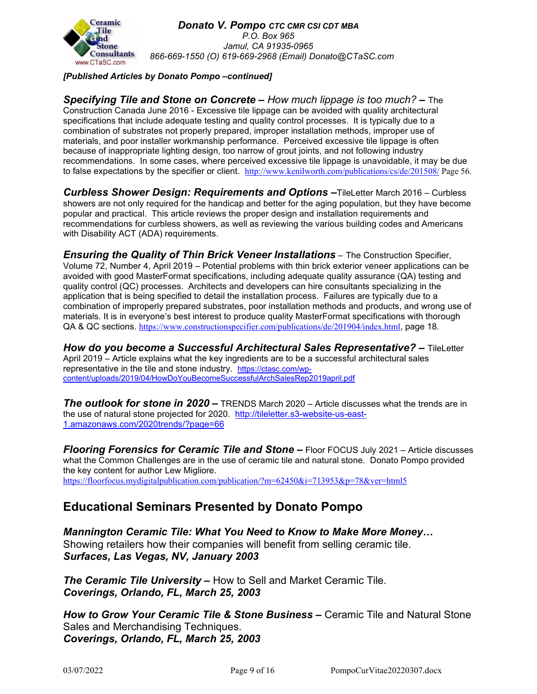

### *[Published Articles by Donato Pompo –continued]*

*Specifying Tile and Stone on Concrete – How much lippage is too much? –* The Construction Canada June 2016 - Excessive tile lippage can be avoided with quality architectural specifications that include adequate testing and quality control processes. It is typically due to a combination of substrates not properly prepared, improper installation methods, improper use of materials, and poor installer workmanship performance. Perceived excessive tile lippage is often because of inappropriate lighting design, too narrow of grout joints, and not following industry recommendations. In some cases, where perceived excessive tile lippage is unavoidable, it may be due to false expectations by the specifier or client. <http://www.kenilworth.com/publications/cs/de/201508/> Page 56.

*Curbless Shower Design: Requirements and Options –*TileLetter March 2016 – Curbless showers are not only required for the handicap and better for the aging population, but they have become popular and practical. This article reviews the proper design and installation requirements and recommendations for curbless showers, as well as reviewing the various building codes and Americans with Disability ACT (ADA) requirements.

*Ensuring the Quality of Thin Brick Veneer Installations* – The Construction Specifier, Volume 72, Number 4, April 2019 – Potential problems with thin brick exterior veneer applications can be avoided with good MasterFormat specifications, including adequate quality assurance (QA) testing and quality control (QC) processes. Architects and developers can hire consultants specializing in the application that is being specified to detail the installation process. Failures are typically due to a combination of improperly prepared substrates, poor installation methods and products, and wrong use of materials. It is in everyone's best interest to produce quality MasterFormat specifications with thorough QA & QC sections. <https://www.constructionspecifier.com/publications/de/201904/index.html>, page 18.

*How do you become a Successful Architectural Sales Representative? –* TileLetter April 2019 – Article explains what the key ingredients are to be a successful architectural sales representative in the tile and stone industry. [https://ctasc.com/wp](https://ctasc.com/wp-content/uploads/2019/04/HowDoYouBecomeSuccessfulArchSalesRep2019april.pdf)[content/uploads/2019/04/HowDoYouBecomeSuccessfulArchSalesRep2019april.pdf](https://ctasc.com/wp-content/uploads/2019/04/HowDoYouBecomeSuccessfulArchSalesRep2019april.pdf)

*The outlook for stone in 2020 –* TRENDS March 2020 – Article discusses what the trends are in the use of natural stone projected for 2020. [http://tileletter.s3-website-us-east-](http://tileletter.s3-website-us-east-1.amazonaws.com/2020trends/?page=66)[1.amazonaws.com/2020trends/?page=66](http://tileletter.s3-website-us-east-1.amazonaws.com/2020trends/?page=66)

*Flooring Forensics for Ceramic Tile and Stone –* Floor FOCUS July 2021 – Article discusses what the Common Challenges are in the use of ceramic tile and natural stone. Donato Pompo provided the key content for author Lew Migliore. <https://floorfocus.mydigitalpublication.com/publication/?m=62450&i=713953&p=78&ver=html5>

## **Educational Seminars Presented by Donato Pompo**

*Mannington Ceramic Tile: What You Need to Know to Make More Money…* Showing retailers how their companies will benefit from selling ceramic tile. *Surfaces, Las Vegas, NV, January 2003*

*The Ceramic Tile University –* How to Sell and Market Ceramic Tile. *Coverings, Orlando, FL, March 25, 2003*

*How to Grow Your Ceramic Tile & Stone Business –* Ceramic Tile and Natural Stone Sales and Merchandising Techniques. *Coverings, Orlando, FL, March 25, 2003*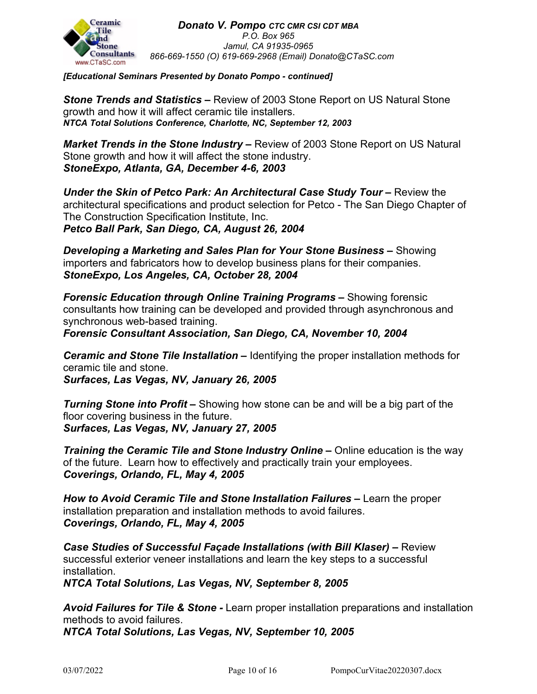

*[Educational Seminars Presented by Donato Pompo - continued]*

*Stone Trends and Statistics –* Review of 2003 Stone Report on US Natural Stone growth and how it will affect ceramic tile installers. *NTCA Total Solutions Conference, Charlotte, NC, September 12, 2003*

*Market Trends in the Stone Industry –* Review of 2003 Stone Report on US Natural Stone growth and how it will affect the stone industry. *StoneExpo, Atlanta, GA, December 4-6, 2003*

*Under the Skin of Petco Park: An Architectural Case Study Tour* **–** Review the architectural specifications and product selection for Petco - The San Diego Chapter of The Construction Specification Institute, Inc. *Petco Ball Park, San Diego, CA, August 26, 2004*

*Developing a Marketing and Sales Plan for Your Stone Business –* Showing importers and fabricators how to develop business plans for their companies. *StoneExpo, Los Angeles, CA, October 28, 2004*

*Forensic Education through Online Training Programs –* Showing forensic consultants how training can be developed and provided through asynchronous and synchronous web-based training.

*Forensic Consultant Association, San Diego, CA, November 10, 2004*

*Ceramic and Stone Tile Installation –* Identifying the proper installation methods for ceramic tile and stone.

*Surfaces, Las Vegas, NV, January 26, 2005*

*Turning Stone into Profit –* Showing how stone can be and will be a big part of the floor covering business in the future. *Surfaces, Las Vegas, NV, January 27, 2005*

*Training the Ceramic Tile and Stone Industry Online* – Online education is the way of the future. Learn how to effectively and practically train your employees. *Coverings, Orlando, FL, May 4, 2005*

*How to Avoid Ceramic Tile and Stone Installation Failures –* Learn the proper installation preparation and installation methods to avoid failures. *Coverings, Orlando, FL, May 4, 2005*

*Case Studies of Successful Façade Installations (with Bill Klaser) –* Review successful exterior veneer installations and learn the key steps to a successful installation.

*NTCA Total Solutions, Las Vegas, NV, September 8, 2005*

*Avoid Failures for Tile & Stone -* Learn proper installation preparations and installation methods to avoid failures. *NTCA Total Solutions, Las Vegas, NV, September 10, 2005*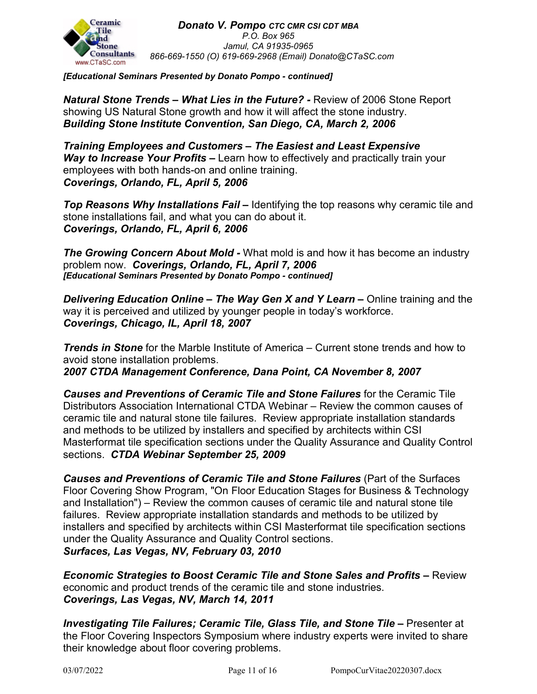

*[Educational Seminars Presented by Donato Pompo - continued]*

*Natural Stone Trends – What Lies in the Future? -* Review of 2006 Stone Report showing US Natural Stone growth and how it will affect the stone industry. *Building Stone Institute Convention, San Diego, CA, March 2, 2006*

*Training Employees and Customers – The Easiest and Least Expensive Way to Increase Your Profits –* Learn how to effectively and practically train your employees with both hands-on and online training. *Coverings, Orlando, FL, April 5, 2006*

*Top Reasons Why Installations Fail –* Identifying the top reasons why ceramic tile and stone installations fail, and what you can do about it. *Coverings, Orlando, FL, April 6, 2006*

*The Growing Concern About Mold -* What mold is and how it has become an industry problem now. *Coverings, Orlando, FL, April 7, 2006 [Educational Seminars Presented by Donato Pompo - continued]*

*Delivering Education Online – The Way Gen X and Y Learn –* Online training and the way it is perceived and utilized by younger people in today's workforce. *Coverings, Chicago, IL, April 18, 2007*

*Trends in Stone* for the Marble Institute of America – Current stone trends and how to avoid stone installation problems. *2007 CTDA Management Conference, Dana Point, CA November 8, 2007*

*Causes and Preventions of Ceramic Tile and Stone Failures* for the Ceramic Tile Distributors Association International CTDA Webinar – Review the common causes of ceramic tile and natural stone tile failures. Review appropriate installation standards and methods to be utilized by installers and specified by architects within CSI Masterformat tile specification sections under the Quality Assurance and Quality Control sections. *CTDA Webinar September 25, 2009*

*Causes and Preventions of Ceramic Tile and Stone Failures* (Part of the Surfaces Floor Covering Show Program, "On Floor Education Stages for Business & Technology and Installation") – Review the common causes of ceramic tile and natural stone tile failures. Review appropriate installation standards and methods to be utilized by installers and specified by architects within CSI Masterformat tile specification sections under the Quality Assurance and Quality Control sections. *Surfaces, Las Vegas, NV, February 03, 2010*

*Economic Strategies to Boost Ceramic Tile and Stone Sales and Profits –* Review economic and product trends of the ceramic tile and stone industries. *Coverings, Las Vegas, NV, March 14, 2011*

*Investigating Tile Failures; Ceramic Tile, Glass Tile, and Stone Tile – Presenter at* the Floor Covering Inspectors Symposium where industry experts were invited to share their knowledge about floor covering problems.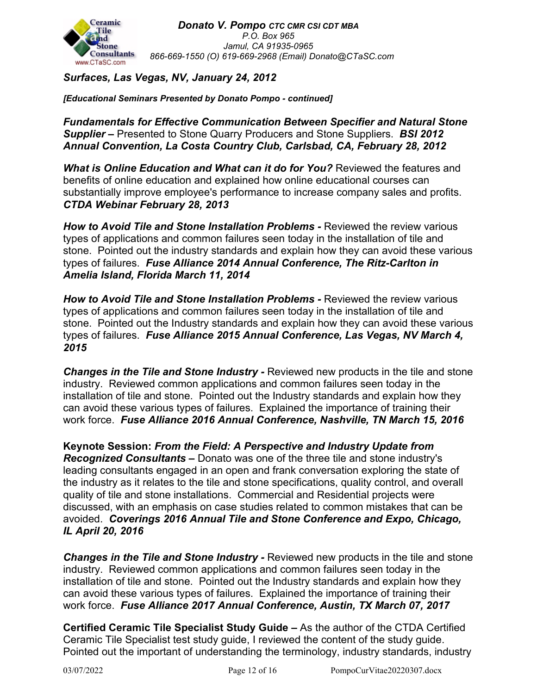

## *Surfaces, Las Vegas, NV, January 24, 2012*

*[Educational Seminars Presented by Donato Pompo - continued]*

*Fundamentals for Effective Communication Between Specifier and Natural Stone Supplier –* Presented to Stone Quarry Producers and Stone Suppliers. *BSI 2012 Annual Convention, La Costa Country Club, Carlsbad, CA, February 28, 2012*

*What is Online Education and What can it do for You?* Reviewed the features and benefits of online education and explained how online educational courses can substantially improve employee's performance to increase company sales and profits. *CTDA Webinar February 28, 2013*

*How to Avoid Tile and Stone Installation Problems -* Reviewed the review various types of applications and common failures seen today in the installation of tile and stone. Pointed out the industry standards and explain how they can avoid these various types of failures. *Fuse Alliance 2014 Annual Conference, The Ritz-Carlton in Amelia Island, Florida March 11, 2014*

*How to Avoid Tile and Stone Installation Problems -* Reviewed the review various types of applications and common failures seen today in the installation of tile and stone. Pointed out the Industry standards and explain how they can avoid these various types of failures. *Fuse Alliance 2015 Annual Conference, Las Vegas, NV March 4, 2015*

*Changes in the Tile and Stone Industry -* Reviewed new products in the tile and stone industry. Reviewed common applications and common failures seen today in the installation of tile and stone. Pointed out the Industry standards and explain how they can avoid these various types of failures. Explained the importance of training their work force. *Fuse Alliance 2016 Annual Conference, Nashville, TN March 15, 2016*

**Keynote Session:** *From the Field: A Perspective and Industry Update from Recognized Consultants –* Donato was one of the three tile and stone industry's leading consultants engaged in an open and frank conversation exploring the state of the industry as it relates to the tile and stone specifications, quality control, and overall quality of tile and stone installations. Commercial and Residential projects were discussed, with an emphasis on case studies related to common mistakes that can be avoided. *Coverings 2016 Annual Tile and Stone Conference and Expo, Chicago, IL April 20, 2016*

*Changes in the Tile and Stone Industry -* Reviewed new products in the tile and stone industry. Reviewed common applications and common failures seen today in the installation of tile and stone. Pointed out the Industry standards and explain how they can avoid these various types of failures. Explained the importance of training their work force. *Fuse Alliance 2017 Annual Conference, Austin, TX March 07, 2017*

**Certified Ceramic Tile Specialist Study Guide** *–* As the author of the CTDA Certified Ceramic Tile Specialist test study guide, I reviewed the content of the study guide. Pointed out the important of understanding the terminology, industry standards, industry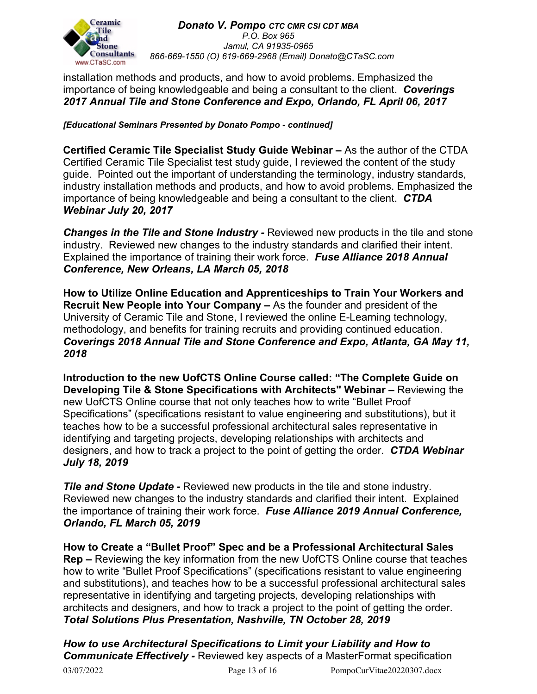

installation methods and products, and how to avoid problems. Emphasized the importance of being knowledgeable and being a consultant to the client. *Coverings 2017 Annual Tile and Stone Conference and Expo, Orlando, FL April 06, 2017*

## *[Educational Seminars Presented by Donato Pompo - continued]*

**Certified Ceramic Tile Specialist Study Guide Webinar** *–* As the author of the CTDA Certified Ceramic Tile Specialist test study guide, I reviewed the content of the study guide. Pointed out the important of understanding the terminology, industry standards, industry installation methods and products, and how to avoid problems. Emphasized the importance of being knowledgeable and being a consultant to the client. *CTDA Webinar July 20, 2017*

*Changes in the Tile and Stone Industry -* Reviewed new products in the tile and stone industry. Reviewed new changes to the industry standards and clarified their intent. Explained the importance of training their work force. *Fuse Alliance 2018 Annual Conference, New Orleans, LA March 05, 2018*

**How to Utilize Online Education and Apprenticeships to Train Your Workers and Recruit New People into Your Company** *–* As the founder and president of the University of Ceramic Tile and Stone, I reviewed the online E-Learning technology, methodology, and benefits for training recruits and providing continued education. *Coverings 2018 Annual Tile and Stone Conference and Expo, Atlanta, GA May 11, 2018*

**Introduction to the new UofCTS Online Course called: "The Complete Guide on Developing Tile & Stone Specifications with Architects" Webinar** *–* Reviewing the new UofCTS Online course that not only teaches how to write "Bullet Proof Specifications" (specifications resistant to value engineering and substitutions), but it teaches how to be a successful professional architectural sales representative in identifying and targeting projects, developing relationships with architects and designers, and how to track a project to the point of getting the order. *CTDA Webinar July 18, 2019*

*Tile and Stone Update - Reviewed new products in the tile and stone industry.* Reviewed new changes to the industry standards and clarified their intent. Explained the importance of training their work force. *Fuse Alliance 2019 Annual Conference, Orlando, FL March 05, 2019*

**How to Create a "Bullet Proof" Spec and be a Professional Architectural Sales Rep** *–* Reviewing the key information from the new UofCTS Online course that teaches how to write "Bullet Proof Specifications" (specifications resistant to value engineering and substitutions), and teaches how to be a successful professional architectural sales representative in identifying and targeting projects, developing relationships with architects and designers, and how to track a project to the point of getting the order. *Total Solutions Plus Presentation, Nashville, TN October 28, 2019*

03/07/2022 **Page 13 of 16** PompoCurVitae20220307.docx *How to use Architectural Specifications to Limit your Liability and How to Communicate Effectively -* Reviewed key aspects of a MasterFormat specification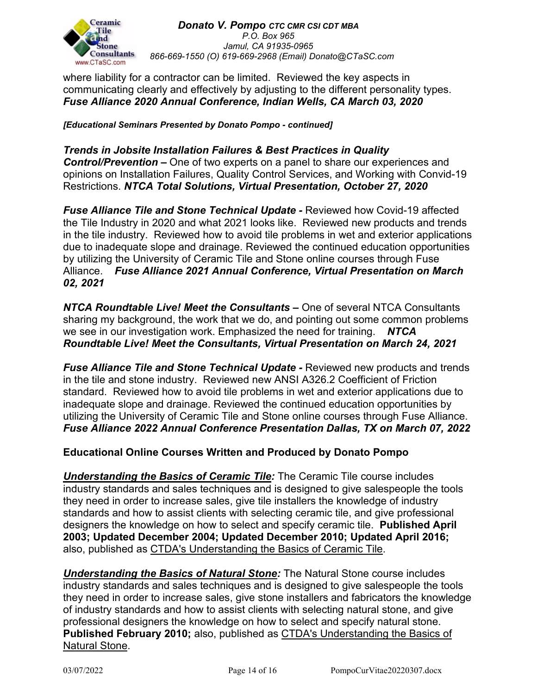

where liability for a contractor can be limited. Reviewed the key aspects in communicating clearly and effectively by adjusting to the different personality types. *Fuse Alliance 2020 Annual Conference, Indian Wells, CA March 03, 2020*

*[Educational Seminars Presented by Donato Pompo - continued]*

*Trends in Jobsite Installation Failures & Best Practices in Quality Control/Prevention –* One of two experts on a panel to share our experiences and opinions on Installation Failures, Quality Control Services, and Working with Convid-19 Restrictions. *NTCA Total Solutions, Virtual Presentation, October 27, 2020*

*Fuse Alliance Tile and Stone Technical Update -* Reviewed how Covid-19 affected the Tile Industry in 2020 and what 2021 looks like. Reviewed new products and trends in the tile industry. Reviewed how to avoid tile problems in wet and exterior applications due to inadequate slope and drainage. Reviewed the continued education opportunities by utilizing the University of Ceramic Tile and Stone online courses through Fuse Alliance. *Fuse Alliance 2021 Annual Conference, Virtual Presentation on March 02, 2021*

*NTCA Roundtable Live! Meet the Consultants –* One of several NTCA Consultants sharing my background, the work that we do, and pointing out some common problems we see in our investigation work. Emphasized the need for training. *NTCA Roundtable Live! Meet the Consultants, Virtual Presentation on March 24, 2021*

*Fuse Alliance Tile and Stone Technical Update -* Reviewed new products and trends in the tile and stone industry. Reviewed new ANSI A326.2 Coefficient of Friction standard. Reviewed how to avoid tile problems in wet and exterior applications due to inadequate slope and drainage. Reviewed the continued education opportunities by utilizing the University of Ceramic Tile and Stone online courses through Fuse Alliance. *Fuse Alliance 2022 Annual Conference Presentation Dallas, TX on March 07, 2022*

## **Educational Online Courses Written and Produced by Donato Pompo**

*Understanding the Basics of Ceramic Tile:* The Ceramic Tile course includes industry standards and sales techniques and is designed to give salespeople the tools they need in order to increase sales, give tile installers the knowledge of industry standards and how to assist clients with selecting ceramic tile, and give professional designers the knowledge on how to select and specify ceramic tile. **Published April 2003; Updated December 2004; Updated December 2010; Updated April 2016;**  also, published as CTDA's Understanding the Basics of Ceramic Tile.

*Understanding the Basics of Natural Stone:* The Natural Stone course includes industry standards and sales techniques and is designed to give salespeople the tools they need in order to increase sales, give stone installers and fabricators the knowledge of industry standards and how to assist clients with selecting natural stone, and give professional designers the knowledge on how to select and specify natural stone. **Published February 2010;** also, published as CTDA's Understanding the Basics of Natural Stone.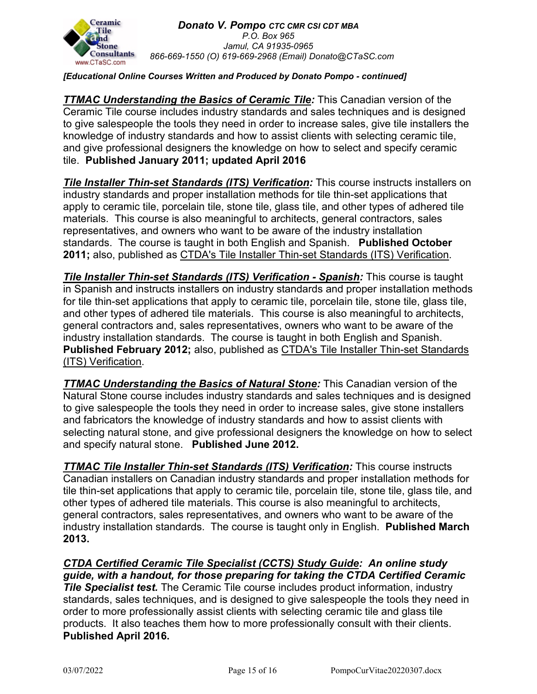

## *[Educational Online Courses Written and Produced by Donato Pompo - continued]*

*TTMAC Understanding the Basics of Ceramic Tile: This Canadian version of the* Ceramic Tile course includes industry standards and sales techniques and is designed to give salespeople the tools they need in order to increase sales, give tile installers the knowledge of industry standards and how to assist clients with selecting ceramic tile, and give professional designers the knowledge on how to select and specify ceramic tile. **Published January 2011; updated April 2016**

**Tile Installer Thin-set Standards (ITS) Verification:** This course instructs installers on industry standards and proper installation methods for tile thin-set applications that apply to ceramic tile, porcelain tile, stone tile, glass tile, and other types of adhered tile materials. This course is also meaningful to architects, general contractors, sales representatives, and owners who want to be aware of the industry installation standards. The course is taught in both English and Spanish. **Published October 2011;** also, published as CTDA's Tile Installer Thin-set Standards (ITS) Verification.

*Tile Installer Thin-set Standards (ITS) Verification - Spanish:* This course is taught in Spanish and instructs installers on industry standards and proper installation methods for tile thin-set applications that apply to ceramic tile, porcelain tile, stone tile, glass tile, and other types of adhered tile materials. This course is also meaningful to architects, general contractors and, sales representatives, owners who want to be aware of the industry installation standards. The course is taught in both English and Spanish. **Published February 2012;** also, published as CTDA's Tile Installer Thin-set Standards (ITS) Verification.

*TTMAC Understanding the Basics of Natural Stone:* This Canadian version of the Natural Stone course includes industry standards and sales techniques and is designed to give salespeople the tools they need in order to increase sales, give stone installers and fabricators the knowledge of industry standards and how to assist clients with selecting natural stone, and give professional designers the knowledge on how to select and specify natural stone. **Published June 2012.**

**TTMAC Tile Installer Thin-set Standards (ITS) Verification:** This course instructs Canadian installers on Canadian industry standards and proper installation methods for tile thin-set applications that apply to ceramic tile, porcelain tile, stone tile, glass tile, and other types of adhered tile materials. This course is also meaningful to architects, general contractors, sales representatives, and owners who want to be aware of the industry installation standards. The course is taught only in English. **Published March 2013.**

*CTDA Certified Ceramic Tile Specialist (CCTS) Study Guide: An online study guide, with a handout, for those preparing for taking the CTDA Certified Ceramic Tile Specialist test.* The Ceramic Tile course includes product information, industry standards, sales techniques, and is designed to give salespeople the tools they need in order to more professionally assist clients with selecting ceramic tile and glass tile products. It also teaches them how to more professionally consult with their clients. **Published April 2016.**